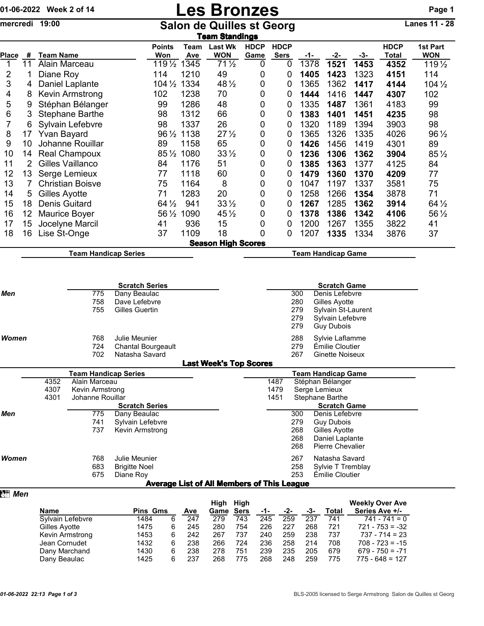## 01-06-2022 Week 2 of 14 **Les Bronzes** Page 1

mercredi 19:00 Salon de Quilles st Georg Lanes 11 - 28

|                | Team Standings |                             |                      |             |                              |                     |                            |                           |      |      |                      |                        |  |  |
|----------------|----------------|-----------------------------|----------------------|-------------|------------------------------|---------------------|----------------------------|---------------------------|------|------|----------------------|------------------------|--|--|
| Place          | #              | <b>Team Name</b>            | <b>Points</b><br>Won | Team<br>Ave | <b>Last Wk</b><br><b>WON</b> | <b>HDCP</b><br>Game | <b>HDCP</b><br><b>Sers</b> | -1-                       | -2-  | -3-  | <b>HDCP</b><br>Total | 1st Part<br><b>WON</b> |  |  |
| 1              | 11             | Alain Marceau               | $119\frac{1}{2}$     | 1345        | $71\frac{1}{2}$              | 0                   | 0                          | 1378                      | 1521 | 1453 | 4352                 | 119 1/2                |  |  |
| 2              |                | Diane Roy                   | 114                  | 1210        | 49                           | 0                   | 0                          | 1405                      | 1423 | 1323 | 4151                 | 114                    |  |  |
| 3              | 4              | Daniel Laplante             | $104\frac{1}{2}$     | 1334        | 48 1/2                       | 0                   | 0                          | 1365                      | 1362 | 1417 | 4144                 | $104\frac{1}{2}$       |  |  |
| 4              | 8              | Kevin Armstrong             | 102                  | 1238        | 70                           | 0                   | 0                          | 1444                      | 1416 | 1447 | 4307                 | 102                    |  |  |
| 5              | 9              | Stéphan Bélanger            | 99                   | 1286        | 48                           | 0                   | 0                          | 1335                      | 1487 | 1361 | 4183                 | 99                     |  |  |
| 6              | 3.             | <b>Stephane Barthe</b>      | 98                   | 1312        | 66                           | 0                   | 0                          | 1383                      | 1401 | 1451 | 4235                 | 98                     |  |  |
| $\overline{7}$ | 6              | Sylvain Lefebvre            | 98                   | 1337        | 26                           | 0                   | 0                          | 1320                      | 1189 | 1394 | 3903                 | 98                     |  |  |
| 8              | 17             | Yvan Bayard                 | $96\frac{1}{2}$      | 1138        | $27\frac{1}{2}$              | 0                   | 0                          | 1365                      | 1326 | 1335 | 4026                 | 96 1/2                 |  |  |
| 9              | 10             | Johanne Rouillar            | 89                   | 1158        | 65                           | 0                   | 0                          | 1426                      | 1456 | 1419 | 4301                 | 89                     |  |  |
| 10             | 14             | <b>Real Champoux</b>        | $85\frac{1}{2}$      | 1080        | $33\frac{1}{2}$              | 0                   | 0                          | 1236                      | 1306 | 1362 | 3904                 | $85\frac{1}{2}$        |  |  |
| 11             | 2              | Gilles Vaillanco            | 84                   | 1176        | 51                           | 0                   | 0                          | 1385                      | 1363 | 1377 | 4125                 | 84                     |  |  |
| 12             | 13             | Serge Lemieux               | 77                   | 1118        | 60                           | 0                   | 0                          | 1479                      | 1360 | 1370 | 4209                 | 77                     |  |  |
| 13             |                | <b>Christian Boisve</b>     | 75                   | 1164        | 8                            | 0                   | 0                          | 1047                      | 1197 | 1337 | 3581                 | 75                     |  |  |
| 14             | 5.             | Gilles Ayotte               | 71                   | 1283        | 20                           | 0                   | 0                          | 1258                      | 1266 | 1354 | 3878                 | 71                     |  |  |
| 15             | 18             | Denis Guitard               | $64\frac{1}{2}$      | 941         | $33\frac{1}{2}$              | 0                   | 0                          | 1267                      | 1285 | 1362 | 3914                 | $64\frac{1}{2}$        |  |  |
| 16             | 12             | <b>Maurice Boyer</b>        | $56\,\frac{1}{2}$    | 1090        | $45\frac{1}{2}$              | 0                   | 0                          | 1378                      | 1386 | 1342 | 4106                 | 56 $\frac{1}{2}$       |  |  |
| 17             | 15             | Jocelyne Marcil             | 41                   | 936         | 15                           | 0                   | 0                          | 1200                      | 1267 | 1355 | 3822                 | 41                     |  |  |
| 18             | 16             | Lise St-Onge                | 37                   | 1109        | 18                           | 0                   | 0                          | 1207                      | 1335 | 1334 | 3876                 | 37                     |  |  |
|                |                |                             |                      |             | <b>Season High Scores</b>    |                     |                            |                           |      |      |                      |                        |  |  |
|                |                | <b>Team Handicap Series</b> |                      |             |                              |                     |                            | <b>Team Handicap Game</b> |      |      |                      |                        |  |  |

|       |      |                      | <b>Scratch Series</b>     |                                                   |                         |     | <b>Scratch Game</b>       |  |  |
|-------|------|----------------------|---------------------------|---------------------------------------------------|-------------------------|-----|---------------------------|--|--|
| Men   |      | 775                  | Dany Beaulac              |                                                   |                         | 300 | Denis Lefebvre            |  |  |
|       |      | 758                  | Dave Lefebvre             |                                                   |                         | 280 | Gilles Ayotte             |  |  |
|       |      | 755                  | Gilles Guertin            |                                                   |                         | 279 | Sylvain St-Laurent        |  |  |
|       |      |                      |                           |                                                   |                         | 279 | Sylvain Lefebvre          |  |  |
|       |      |                      |                           |                                                   |                         | 279 | <b>Guy Dubois</b>         |  |  |
| Women |      | 768                  | Julie Meunier             |                                                   |                         | 288 | Sylvie Laflamme           |  |  |
|       |      | 724                  | <b>Chantal Bourgeault</b> |                                                   |                         | 279 | Émilie Cloutier           |  |  |
|       |      | 702                  | Natasha Savard            |                                                   |                         | 267 | Ginette Noiseux           |  |  |
|       |      |                      |                           | <b>Last Week's Top Scores</b>                     |                         |     |                           |  |  |
|       |      | Team Handicap Series |                           |                                                   |                         |     | <b>Team Handicap Game</b> |  |  |
|       | 4352 | Alain Marceau        |                           |                                                   | 1487                    |     | Stéphan Bélanger          |  |  |
|       | 4307 | Kevin Armstrong      |                           |                                                   | 1479<br>Serge Lemieux   |     |                           |  |  |
|       | 4301 | Johanne Rouillar     |                           |                                                   | 1451<br>Stephane Barthe |     |                           |  |  |
|       |      |                      | <b>Scratch Series</b>     |                                                   |                         |     | <b>Scratch Game</b>       |  |  |
| Men   |      | 775                  | Dany Beaulac              |                                                   |                         | 300 | Denis Lefebvre            |  |  |
|       |      | 741                  | Sylvain Lefebvre          |                                                   |                         | 279 | <b>Guy Dubois</b>         |  |  |
|       |      | 737                  | Kevin Armstrong           |                                                   |                         | 268 | Gilles Ayotte             |  |  |
|       |      |                      |                           |                                                   |                         | 268 | Daniel Laplante           |  |  |
|       |      |                      |                           |                                                   |                         | 268 | Pierre Chevalier          |  |  |
| Women |      | 768                  | Julie Meunier             |                                                   |                         | 267 | Natasha Savard            |  |  |
|       |      | 683                  | <b>Brigitte Noel</b>      |                                                   |                         | 258 | Sylvie T Tremblay         |  |  |
|       |      | 675                  | Diane Roy                 |                                                   |                         | 253 | Émilie Cloutier           |  |  |
|       |      |                      |                           | <b>Average List of All Members of This League</b> |                         |     |                           |  |  |

| <del>ଆ</del> Men |                  |                 |    |     |      |      |     |     |     |       |                        |
|------------------|------------------|-----------------|----|-----|------|------|-----|-----|-----|-------|------------------------|
|                  |                  |                 |    |     | High | High |     |     |     |       | <b>Weekly Over Ave</b> |
|                  | <b>Name</b>      | <b>Pins Gms</b> |    | Ave | Game | Sers | -1- | -2- | -3- | Total | Series Ave +/-         |
|                  | Sylvain Lefebvre | 1484            | 6  | 247 | 279  | 743  | 245 | 259 | 237 | 741   | $741 - 741 = 0$        |
|                  | Gilles Ayotte    | 1475            | 6  | 245 | 280  | 754  | 226 | 227 | 268 | 721   | $721 - 753 = -32$      |
|                  | Kevin Armstrong  | 1453            | 6  | 242 | 267  | 737  | 240 | 259 | 238 | 737   | $737 - 714 = 23$       |
|                  | Jean Cornudet    | 1432            | 6  | 238 | 266  | 724  | 236 | 258 | 214 | 708   | $708 - 723 = -15$      |
|                  | Dany Marchand    | 1430            | 6  | 238 | 278  | 751  | 239 | 235 | 205 | 679   | $679 - 750 = -71$      |
|                  | Dany Beaulac     | 1425            | ีค | 237 | 268  | 775  | 268 | 248 | 259 | 775   | $775 - 648 = 127$      |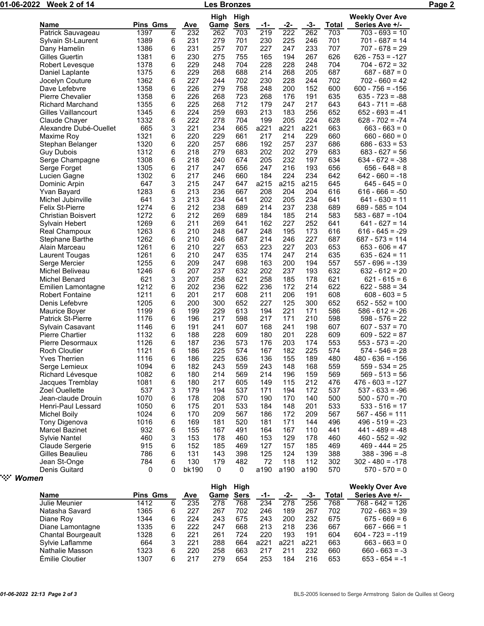| 01-06-2022<br>Week 2 of 14 |                           |          |   |            | Les Bronzes |                          |            |                  |      |              |                                          | Page 2 |
|----------------------------|---------------------------|----------|---|------------|-------------|--------------------------|------------|------------------|------|--------------|------------------------------------------|--------|
|                            | Name                      | Pins Gms |   | <u>Ave</u> | <u>Game</u> | High High<br><b>Sers</b> | <u>-1-</u> | <u>-2-</u>       | -3-  | <b>Total</b> | <b>Weekly Over Ave</b><br>Series Ave +/- |        |
|                            | Patrick Sauvageau         | 1397     | 6 | 232        | 262         | 703                      | 219        | $\overline{222}$ | 262  | 703          | $703 - 693 = 10$                         |        |
|                            | Sylvain St-Laurent        | 1389     | 6 | 231        | 279         | 701                      | 230        | 225              | 246  | 701          | $701 - 687 = 14$                         |        |
|                            | Dany Hamelin              | 1386     | 6 | 231        | 257         | 707                      | 227        | 247              | 233  | 707          | $707 - 678 = 29$                         |        |
|                            | Gilles Guertin            | 1381     | 6 | 230        | 275         | 755                      | 165        | 194              | 267  | 626          | $626 - 753 = -127$                       |        |
|                            | Robert Levesque           | 1378     | 6 | 229        | 248         | 704                      | 228        | 228              | 248  | 704          | $704 - 672 = 32$                         |        |
|                            | Daniel Laplante           | 1375     | 6 | 229        | 268         | 688                      | 214        | 268              | 205  | 687          | $687 - 687 = 0$                          |        |
|                            | Jocelyn Couture           | 1362     | 6 | 227        | 244         | 702                      | 230        | 228              | 244  | 702          | $702 - 660 = 42$                         |        |
|                            | Dave Lefebvre             | 1358     | 6 | 226        | 279         | 758                      | 248        | 200              | 152  | 600          | $600 - 756 = -156$                       |        |
|                            | <b>Pierre Chevalier</b>   | 1358     | 6 | 226        | 268         | 723                      | 268        | 176              | 191  | 635          | $635 - 723 = -88$                        |        |
|                            | <b>Richard Marchand</b>   | 1355     | 6 | 225        | 268         | 712                      | 179        | 247              | 217  | 643          | $643 - 711 = -68$                        |        |
|                            | Gilles Vaillancourt       | 1345     | 6 | 224        | 259         | 693                      | 213        | 183              | 256  | 652          | $652 - 693 = -41$                        |        |
|                            | Claude Chayer             | 1332     | 6 | 222        | 278         | 704                      | 199        | 205              | 224  | 628          | $628 - 702 = -74$                        |        |
|                            | Alexandre Dubé-Ouellet    | 665      | 3 | 221        | 234         | 665                      | a221       | a221             | a221 | 663          | $663 - 663 = 0$                          |        |
|                            | Maxime Roy                | 1321     | 6 | 220        | 229         | 661                      | 217        | 214              | 229  | 660          | $660 - 660 = 0$                          |        |
|                            | Stephan Belanger          | 1320     | 6 | 220        | 257         | 686                      | 192        | 257              | 237  | 686          | $686 - 633 = 53$                         |        |
|                            | <b>Guy Dubois</b>         | 1312     | 6 | 218        | 279         | 683                      | 202        | 202              | 279  | 683          | $683 - 627 = 56$                         |        |
|                            | Serge Champagne           | 1308     | 6 | 218        | 240         | 674                      | 205        | 232              | 197  | 634          | $634 - 672 = -38$                        |        |
|                            | Serge Forget              | 1305     | 6 | 217        | 247         | 656                      | 247        | 216              | 193  | 656          | $656 - 648 = 8$                          |        |
|                            | Lucien Gagne              | 1302     | 6 | 217        | 246         | 660                      | 184        | 224              | 234  | 642          | $642 - 660 = -18$                        |        |
|                            | Dominic Arpin             | 647      | 3 | 215        | 247         | 647                      | a215       | a215             | a215 | 645          | $645 - 645 = 0$                          |        |
|                            | Yvan Bayard               | 1283     | 6 | 213        | 236         | 667                      | 208        | 204              | 204  | 616          | $616 - 666 = -50$                        |        |
|                            | Michel Jubinville         | 641      | 3 | 213        | 234         | 641                      | 202        | 205              | 234  | 641          | $641 - 630 = 11$                         |        |
|                            | <b>Felix St-Pierre</b>    | 1274     | 6 | 212        | 238         | 689                      | 214        | 237              | 238  | 689          | $689 - 585 = 104$                        |        |
|                            |                           |          |   |            |             |                          |            |                  |      |              |                                          |        |
|                            | <b>Christian Boisvert</b> | 1272     | 6 | 212        | 269         | 689                      | 184        | 185              | 214  | 583          | $583 - 687 = -104$                       |        |
|                            | Sylvain Hebert            | 1269     | 6 | 211        | 269         | 641                      | 162        | 227              | 252  | 641          | $641 - 627 = 14$                         |        |
|                            | Real Champoux             | 1263     | 6 | 210        | 248         | 647                      | 248        | 195              | 173  | 616          | $616 - 645 = -29$                        |        |
|                            | Stephane Barthe           | 1262     | 6 | 210        | 246         | 687                      | 214        | 246              | 227  | 687          | $687 - 573 = 114$                        |        |
|                            | Alain Marceau             | 1261     | 6 | 210        | 227         | 653                      | 223        | 227              | 203  | 653          | $653 - 606 = 47$                         |        |
|                            | Laurent Tougas            | 1261     | 6 | 210        | 247         | 635                      | 174        | 247              | 214  | 635          | $635 - 624 = 11$                         |        |
|                            | Serge Mercier             | 1255     | 6 | 209        | 247         | 698                      | 163        | 200              | 194  | 557          | $557 - 696 = -139$                       |        |
|                            | Michel Beliveau           | 1246     | 6 | 207        | 237         | 632                      | 202        | 237              | 193  | 632          | $632 - 612 = 20$                         |        |
|                            | Michel Benard             | 621      | 3 | 207        | 258         | 621                      | 258        | 185              | 178  | 621          | $621 - 615 = 6$                          |        |
|                            | Emilien Lamontagne        | 1212     | 6 | 202        | 236         | 622                      | 236        | 172              | 214  | 622          | $622 - 588 = 34$                         |        |
|                            | <b>Robert Fontaine</b>    | 1211     | 6 | 201        | 217         | 608                      | 211        | 206              | 191  | 608          | $608 - 603 = 5$                          |        |
|                            | Denis Lefebvre            | 1205     | 6 | 200        | 300         | 652                      | 227        | 125              | 300  | 652          | $652 - 552 = 100$                        |        |
|                            | Maurice Boyer             | 1199     | 6 | 199        | 229         | 613                      | 194        | 221              | 171  | 586          | $586 - 612 = -26$                        |        |
|                            | <b>Patrick St-Pierre</b>  | 1176     | 6 | 196        | 217         | 598                      | 217        | 171              | 210  | 598          | $598 - 576 = 22$                         |        |
|                            | Sylvain Casavant          | 1146     | 6 | 191        | 241         | 607                      | 168        | 241              | 198  | 607          | $607 - 537 = 70$                         |        |
|                            | <b>Pierre Chartier</b>    | 1132     | 6 | 188        | 228         | 609                      | 180        | 201              | 228  | 609          | $609 - 522 = 87$                         |        |
|                            | Pierre Desormaux          | 1126     | 6 | 187        | 236         | 573                      | 176        | 203              | 174  | 553          | $553 - 573 = -20$                        |        |
|                            | <b>Roch Cloutier</b>      | 1121     | 6 | 186        | 225         | 574                      | 167        | 182              | 225  | 574          | $574 - 546 = 28$                         |        |
|                            | <b>Yves Therrien</b>      | 1116     | 6 | 186        | 225         | 636                      | 136        | 155              | 189  | 480          | $480 - 636 = -156$                       |        |
|                            | Serge Lemieux             | 1094     | 6 | 182        | 243         | 559                      | 243        | 148              | 168  | 559          | $559 - 534 = 25$                         |        |
|                            | Richard Lévesque          | 1082     | 6 | 180        | 214         | 569                      | 214        | 196              | 159  | 569          | $569 - 513 = 56$                         |        |
|                            | Jacques Tremblay          | 1081     | 6 | 180        | 217         | 605                      | 149        | 115              | 212  | 476          | $476 - 603 = -127$                       |        |
|                            | <b>Zoel Ouellette</b>     | 537      | 3 | 179        | 194         | 537                      | 171        | 194              | 172  | 537          | $537 - 633 = -96$                        |        |
|                            | Jean-claude Drouin        | 1070     | 6 | 178        | 208         | 570                      | 190        | 170              | 140  | 500          | $500 - 570 = -70$                        |        |
|                            | Henri-Paul Lessard        | 1050     | 6 | 175        | 201         | 533                      | 184        | 148              | 201  | 533          | $533 - 516 = 17$                         |        |
|                            | <b>Michel Boily</b>       | 1024     | 6 | 170        | 209         | 567                      | 186        | 172              | 209  | 567          | $567 - 456 = 111$                        |        |
|                            | Tony Digenova             | 1016     | 6 | 169        | 181         | 520                      | 181        | 171              | 144  | 496          | $496 - 519 = -23$                        |        |
|                            | Marcel Bazinet            | 932      | 6 | 155        | 167         | 491                      | 164        | 167              | 110  | 441          | $441 - 489 = -48$                        |        |
|                            | <b>Sylvie Nantel</b>      | 460      | 3 | 153        | 178         | 460                      | 153        | 129              | 178  | 460          | $460 - 552 = -92$                        |        |
|                            | Claude Sergerie           | 915      | 6 | 152        | 185         | 469                      | 127        | 157              | 185  | 469          | $469 - 444 = 25$                         |        |
|                            | Gilles Beaulieu           | 786      | 6 | 131        | 143         | 398                      | 125        | 124              | 139  | 388          | $388 - 396 = -8$                         |        |
|                            | Jean St-Onge              | 784      | 6 | 130        | 179         | 482                      | 72         | 118              | 112  | 302          | $302 - 480 = -178$                       |        |
|                            | Denis Guitard             | 0        | 0 | bk190      | 0           | 0                        | a190       | a190             | a190 | 570          | $570 - 570 = 0$                          |        |
| ੶ੑ੶੶<br>Women              |                           |          |   |            |             |                          |            |                  |      |              |                                          |        |
|                            |                           |          |   |            |             | High High                |            |                  |      |              | <b>Weekly Over Ave</b>                   |        |
|                            |                           |          |   |            |             |                          |            |                  |      |              |                                          |        |

|                 |   |     | Hiah | Hiah        |      |      |      |       | <b>Weekly Over Ave</b> |
|-----------------|---|-----|------|-------------|------|------|------|-------|------------------------|
| <b>Pins Gms</b> |   | Ave | Game | <b>Sers</b> | -1-  | -2-  | -3-  | Total | Series Ave +/-         |
| 1412            | 6 | 235 | 278  | 768         | 234  | 278  | 256  | 768   | $768 - 642 = 126$      |
| 1365            | 6 | 227 | 267  | 702         | 246  | 189  | 267  | 702   | $702 - 663 = 39$       |
| 1344            | 6 | 224 | 243  | 675         | 243  | 200  | 232  | 675   | $675 - 669 = 6$        |
| 1335            | 6 | 222 | 247  | 668         | 213  | 218  | 236  | 667   | $667 - 666 = 1$        |
| 1328            | 6 | 221 | 261  | 724         | 220  | 193  | 191  | 604   | $604 - 723 = -119$     |
| 664             |   | 221 | 288  | 664         | a221 | a221 | a221 | 663   | $663 - 663 = 0$        |
| 1323            | 6 | 220 | 258  | 663         | 217  | 211  | 232  | 660   | $660 - 663 = -3$       |
| 1307            | 6 | 217 | 279  | 654         | 253  | 184  | 216  | 653   | $653 - 654 = -1$       |
|                 |   |     |      |             |      |      |      |       |                        |